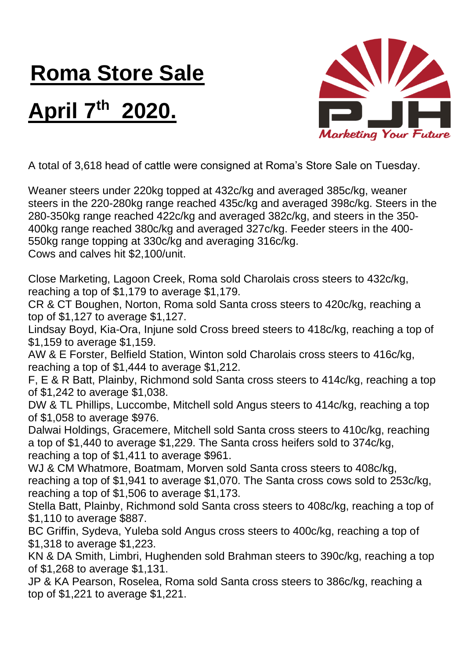## **Roma Store Sale**

## **April 7 th 2020.**



A total of 3,618 head of cattle were consigned at Roma's Store Sale on Tuesday.

Weaner steers under 220kg topped at 432c/kg and averaged 385c/kg, weaner steers in the 220-280kg range reached 435c/kg and averaged 398c/kg. Steers in the 280-350kg range reached 422c/kg and averaged 382c/kg, and steers in the 350- 400kg range reached 380c/kg and averaged 327c/kg. Feeder steers in the 400- 550kg range topping at 330c/kg and averaging 316c/kg. Cows and calves hit \$2,100/unit.

Close Marketing, Lagoon Creek, Roma sold Charolais cross steers to 432c/kg, reaching a top of \$1,179 to average \$1,179.

CR & CT Boughen, Norton, Roma sold Santa cross steers to 420c/kg, reaching a top of \$1,127 to average \$1,127.

Lindsay Boyd, Kia-Ora, Injune sold Cross breed steers to 418c/kg, reaching a top of \$1,159 to average \$1,159.

AW & E Forster, Belfield Station, Winton sold Charolais cross steers to 416c/kg, reaching a top of \$1,444 to average \$1,212.

F, E & R Batt, Plainby, Richmond sold Santa cross steers to 414c/kg, reaching a top of \$1,242 to average \$1,038.

DW & TL Phillips, Luccombe, Mitchell sold Angus steers to 414c/kg, reaching a top of \$1,058 to average \$976.

Dalwai Holdings, Gracemere, Mitchell sold Santa cross steers to 410c/kg, reaching a top of \$1,440 to average \$1,229. The Santa cross heifers sold to 374c/kg, reaching a top of \$1,411 to average \$961.

WJ & CM Whatmore, Boatmam, Morven sold Santa cross steers to 408c/kg, reaching a top of \$1,941 to average \$1,070. The Santa cross cows sold to 253c/kg, reaching a top of \$1,506 to average \$1,173.

Stella Batt, Plainby, Richmond sold Santa cross steers to 408c/kg, reaching a top of \$1,110 to average \$887.

BC Griffin, Sydeva, Yuleba sold Angus cross steers to 400c/kg, reaching a top of \$1,318 to average \$1,223.

KN & DA Smith, Limbri, Hughenden sold Brahman steers to 390c/kg, reaching a top of \$1,268 to average \$1,131.

JP & KA Pearson, Roselea, Roma sold Santa cross steers to 386c/kg, reaching a top of \$1,221 to average \$1,221.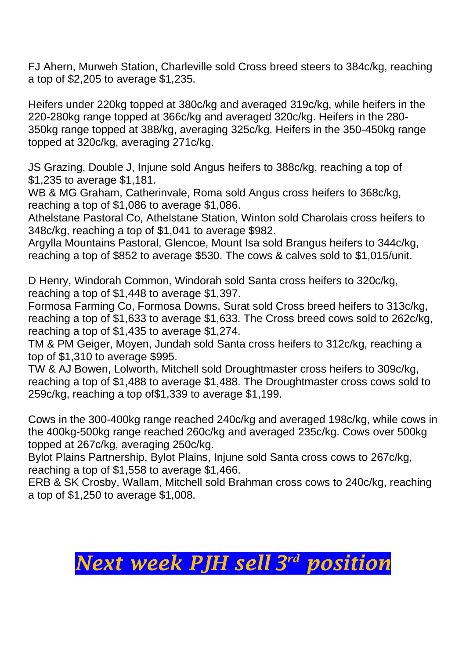FJ Ahern, Murweh Station, Charleville sold Cross breed steers to 384c/kg, reaching a top of \$2,205 to average \$1,235.

Heifers under 220kg topped at 380c/kg and averaged 319c/kg, while heifers in the 220-280kg range topped at 366c/kg and averaged 320c/kg. Heifers in the 280- 350kg range topped at 388/kg, averaging 325c/kg. Heifers in the 350-450kg range topped at 320c/kg, averaging 271c/kg.

JS Grazing, Double J, Injune sold Angus heifers to 388c/kg, reaching a top of \$1,235 to average \$1,181.

WB & MG Graham, Catherinvale, Roma sold Angus cross heifers to 368c/kg, reaching a top of \$1,086 to average \$1,086.

Athelstane Pastoral Co, Athelstane Station, Winton sold Charolais cross heifers to 348c/kg, reaching a top of \$1,041 to average \$982.

Argylla Mountains Pastoral, Glencoe, Mount Isa sold Brangus heifers to 344c/kg, reaching a top of \$852 to average \$530. The cows & calves sold to \$1,015/unit.

D Henry, Windorah Common, Windorah sold Santa cross heifers to 320c/kg, reaching a top of \$1,448 to average \$1,397.

Formosa Farming Co, Formosa Downs, Surat sold Cross breed heifers to 313c/kg, reaching a top of \$1,633 to average \$1,633. The Cross breed cows sold to 262c/kg, reaching a top of \$1,435 to average \$1,274.

TM & PM Geiger, Moyen, Jundah sold Santa cross heifers to 312c/kg, reaching a top of \$1,310 to average \$995.

TW & AJ Bowen, Lolworth, Mitchell sold Droughtmaster cross heifers to 309c/kg, reaching a top of \$1,488 to average \$1,488. The Droughtmaster cross cows sold to 259c/kg, reaching a top of\$1,339 to average \$1,199.

Cows in the 300-400kg range reached 240c/kg and averaged 198c/kg, while cows in the 400kg-500kg range reached 260c/kg and averaged 235c/kg. Cows over 500kg topped at 267c/kg, averaging 250c/kg.

Bylot Plains Partnership, Bylot Plains, Injune sold Santa cross cows to 267c/kg, reaching a top of \$1,558 to average \$1,466.

ERB & SK Crosby, Wallam, Mitchell sold Brahman cross cows to 240c/kg, reaching a top of \$1,250 to average \$1,008.